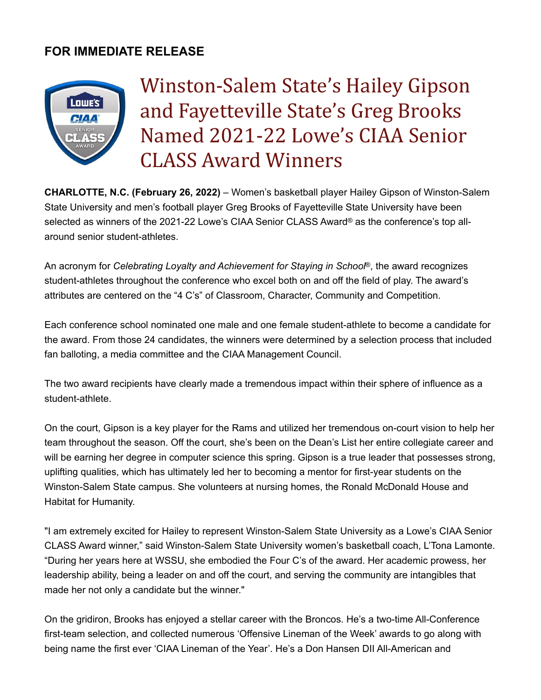## **FOR IMMEDIATE RELEASE**



Winston-Salem State's Hailey Gipson and Fayetteville State's Greg Brooks Named 2021-22 Lowe's CIAA Senior CLASS Award Winners

**CHARLOTTE, N.C. (February 26, 2022)** – Women's basketball player Hailey Gipson of Winston-Salem State University and men's football player Greg Brooks of Fayetteville State University have been selected as winners of the 2021-22 Lowe's CIAA Senior CLASS Award® as the conference's top allaround senior student-athletes.

An acronym for *Celebrating Loyalty and Achievement for Staying in School*®, the award recognizes student-athletes throughout the conference who excel both on and off the field of play. The award's attributes are centered on the "4 C's" of Classroom, Character, Community and Competition.

Each conference school nominated one male and one female student-athlete to become a candidate for the award. From those 24 candidates, the winners were determined by a selection process that included fan balloting, a media committee and the CIAA Management Council.

The two award recipients have clearly made a tremendous impact within their sphere of influence as a student-athlete.

On the court, Gipson is a key player for the Rams and utilized her tremendous on-court vision to help her team throughout the season. Off the court, she's been on the Dean's List her entire collegiate career and will be earning her degree in computer science this spring. Gipson is a true leader that possesses strong, uplifting qualities, which has ultimately led her to becoming a mentor for first-year students on the Winston-Salem State campus. She volunteers at nursing homes, the Ronald McDonald House and Habitat for Humanity.

"I am extremely excited for Hailey to represent Winston-Salem State University as a Lowe's CIAA Senior CLASS Award winner," said Winston-Salem State University women's basketball coach, L'Tona Lamonte. "During her years here at WSSU, she embodied the Four C's of the award. Her academic prowess, her leadership ability, being a leader on and off the court, and serving the community are intangibles that made her not only a candidate but the winner."

On the gridiron, Brooks has enjoyed a stellar career with the Broncos. He's a two-time All-Conference first-team selection, and collected numerous 'Offensive Lineman of the Week' awards to go along with being name the first ever 'CIAA Lineman of the Year'. He's a Don Hansen DII All-American and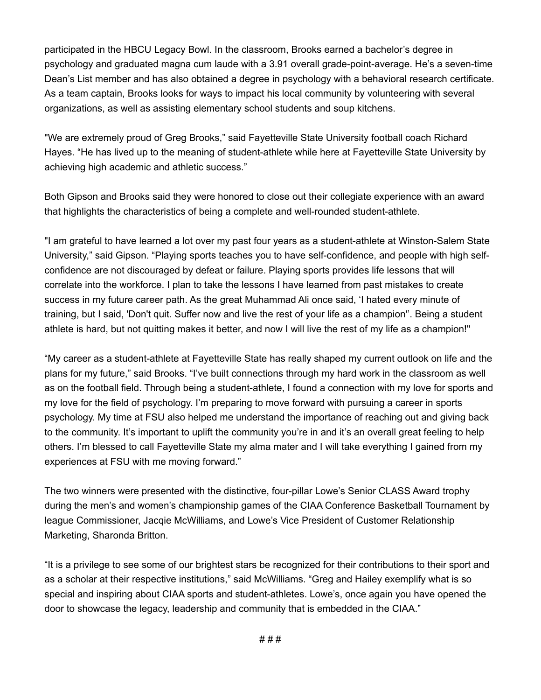participated in the HBCU Legacy Bowl. In the classroom, Brooks earned a bachelor's degree in psychology and graduated magna cum laude with a 3.91 overall grade-point-average. He's a seven-time Dean's List member and has also obtained a degree in psychology with a behavioral research certificate. As a team captain, Brooks looks for ways to impact his local community by volunteering with several organizations, as well as assisting elementary school students and soup kitchens.

"We are extremely proud of Greg Brooks," said Fayetteville State University football coach Richard Hayes. "He has lived up to the meaning of student-athlete while here at Fayetteville State University by achieving high academic and athletic success."

Both Gipson and Brooks said they were honored to close out their collegiate experience with an award that highlights the characteristics of being a complete and well-rounded student-athlete.

"I am grateful to have learned a lot over my past four years as a student-athlete at Winston-Salem State University," said Gipson. "Playing sports teaches you to have self-confidence, and people with high selfconfidence are not discouraged by defeat or failure. Playing sports provides life lessons that will correlate into the workforce. I plan to take the lessons I have learned from past mistakes to create success in my future career path. As the great Muhammad Ali once said, 'I hated every minute of training, but I said, 'Don't quit. Suffer now and live the rest of your life as a champion''. Being a student athlete is hard, but not quitting makes it better, and now I will live the rest of my life as a champion!"

"My career as a student-athlete at Fayetteville State has really shaped my current outlook on life and the plans for my future," said Brooks. "I've built connections through my hard work in the classroom as well as on the football field. Through being a student-athlete, I found a connection with my love for sports and my love for the field of psychology. I'm preparing to move forward with pursuing a career in sports psychology. My time at FSU also helped me understand the importance of reaching out and giving back to the community. It's important to uplift the community you're in and it's an overall great feeling to help others. I'm blessed to call Fayetteville State my alma mater and I will take everything I gained from my experiences at FSU with me moving forward."

The two winners were presented with the distinctive, four-pillar Lowe's Senior CLASS Award trophy during the men's and women's championship games of the CIAA Conference Basketball Tournament by league Commissioner, Jacqie McWilliams, and Lowe's Vice President of Customer Relationship Marketing, Sharonda Britton.

"It is a privilege to see some of our brightest stars be recognized for their contributions to their sport and as a scholar at their respective institutions," said McWilliams. "Greg and Hailey exemplify what is so special and inspiring about CIAA sports and student-athletes. Lowe's, once again you have opened the door to showcase the legacy, leadership and community that is embedded in the CIAA."